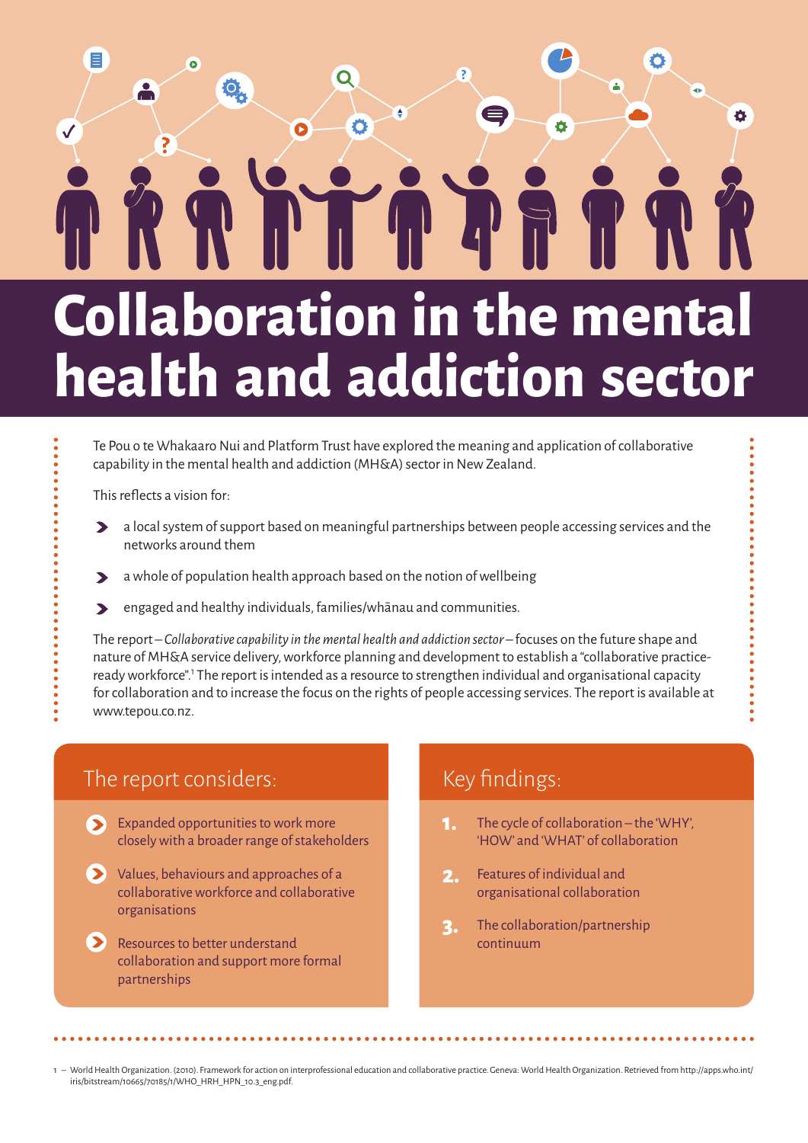### E Q **O** è Ö Ω **Collaboration in the mental**

# **health and addiction sector**

Te Pou o te Whakaaro Nui and Platform Trust have explored the meaning and application of collaborative capability in the mental health and addiction (MH&A) sector in New Zealand.

This reflects a vision for:

- a local system of support based on meaningful partnerships between people accessing services and the  $\blacktriangleright$ networks around them
- a whole of population health approach based on the notion of wellbeing  $\blacktriangleright$
- engaged and healthy individuals, families/whānau and communities.  $\blacktriangleright$

The report – *Collaborative capability in the mental health and addiction sector* – focuses on the future shape and nature of MH&A service delivery, workforce planning and development to establish a "collaborative practiceready workforce".<sup>1</sup> The report is intended as a resource to strengthen individual and organisational capacity for collaboration and to increase the focus on the rights of people accessing services. The report is available at www.tepou.co.nz.

#### The report considers:

- Expanded opportunities to work more  $\blacktriangleright$ closely with a broader range of stakeholders
- Values, behaviours and approaches of a collaborative workforce and collaborative organisations
- Resources to better understand collaboration and support more formal partnerships

#### Key findings:

- The cycle of collaboration the 'WHY', 'HOW' and 'WHAT' of collaboration **1.**
- Features of individual and organisational collaboration **2.**
- The collaboration/partnership continuum **3.**

1 – World Health Organization. (2010). Framework for action on interprofessional education and collaborative practice. Geneva: World Health Organization. Retrieved from http://apps.who.int/ iris/bitstream/10665/70185/1/WHO\_HRH\_HPN\_10.3\_eng.pdf.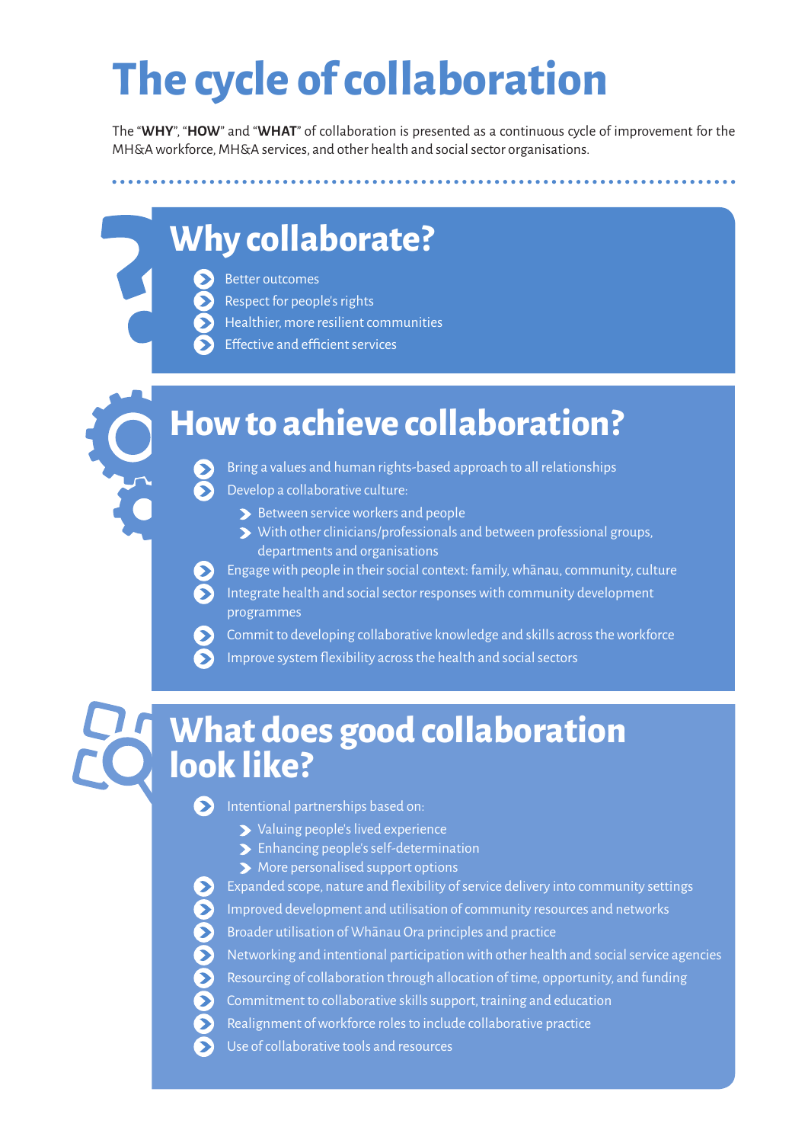## **The cycle of collaboration**

The "**WHY**", "**HOW**" and "**WHAT**" of collaboration is presented as a continuous cycle of improvement for the MH&A workforce, MH&A services, and other health and social sector organisations.

### **Why collaborate?**

• Better outcomes

• Respect for people's rights

• Healthier, more resilient communities

**Effective and efficient services** 

### **How to achieve collaboration?**

• Bring a values and human rights-based approach to all relationships • Develop a collaborative culture:

- $\blacktriangleright$  Between service workers and people
- With other clinicians/professionals and between professional groups, departments and organisations
- Engage with people in their social context: family, whānau, community, culture
- Integrate health and social sector responses with community development programmes

• Commit to developing collaborative knowledge and skills across the workforce

• Improve system flexibility across the health and social sectors

### **What does good collaboration look like?**

**• Intentional partnerships based on:** 

- Valuing people's lived experience
- Enhancing people's self-determination
- More personalised support options

 $\sum$  Expanded scope, nature and flexibility of service delivery into community settings • Improved development and utilisation of community resources and networks • Broader utilisation of Whānau Ora principles and practice • Networking and intentional participation with other health and social service agencies • Resourcing of collaboration through allocation of time, opportunity, and funding • Commitment to collaborative skills support, training and education • Realignment of workforce roles to include collaborative practice

• Use of collaborative tools and resources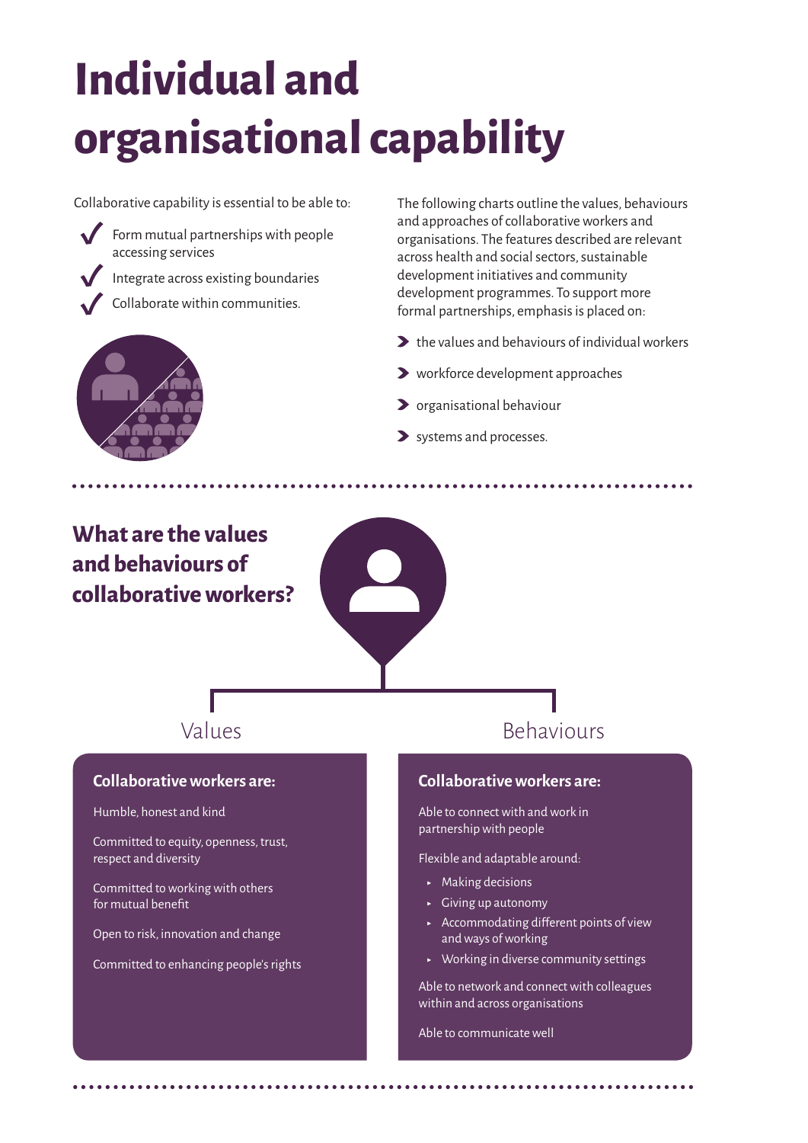# **Individual and organisational capability**

Collaborative capability is essential to be able to:

Form mutual partnerships with people accessing services

Integrate across existing boundaries

Collaborate within communities.

The following charts outline the values, behaviours and approaches of collaborative workers and organisations. The features described are relevant across health and social sectors, sustainable development initiatives and community development programmes. To support more formal partnerships, emphasis is placed on:

- $\blacktriangleright$  the values and behaviours of individual workers
- workforce development approaches
- **>** organisational behaviour
- > systems and processes.

### **What are the values and behaviours of collaborative workers?**

**Collaborative workers are:**

Committed to equity, openness, trust,

Committed to working with others

Open to risk, innovation and change

Committed to enhancing people's rights

Humble, honest and kind

respect and diversity

for mutual benefit



#### **Collaborative workers are:**

Able to connect with and work in partnership with people

Flexible and adaptable around:

- $\blacktriangleright$  Making decisions
- $\overline{\phantom{a}}$  Giving up autonomy
- ʝ Accommodating different points of view and ways of working
- $\rightarrow$  Working in diverse community settings

Able to network and connect with colleagues within and across organisations

Able to communicate well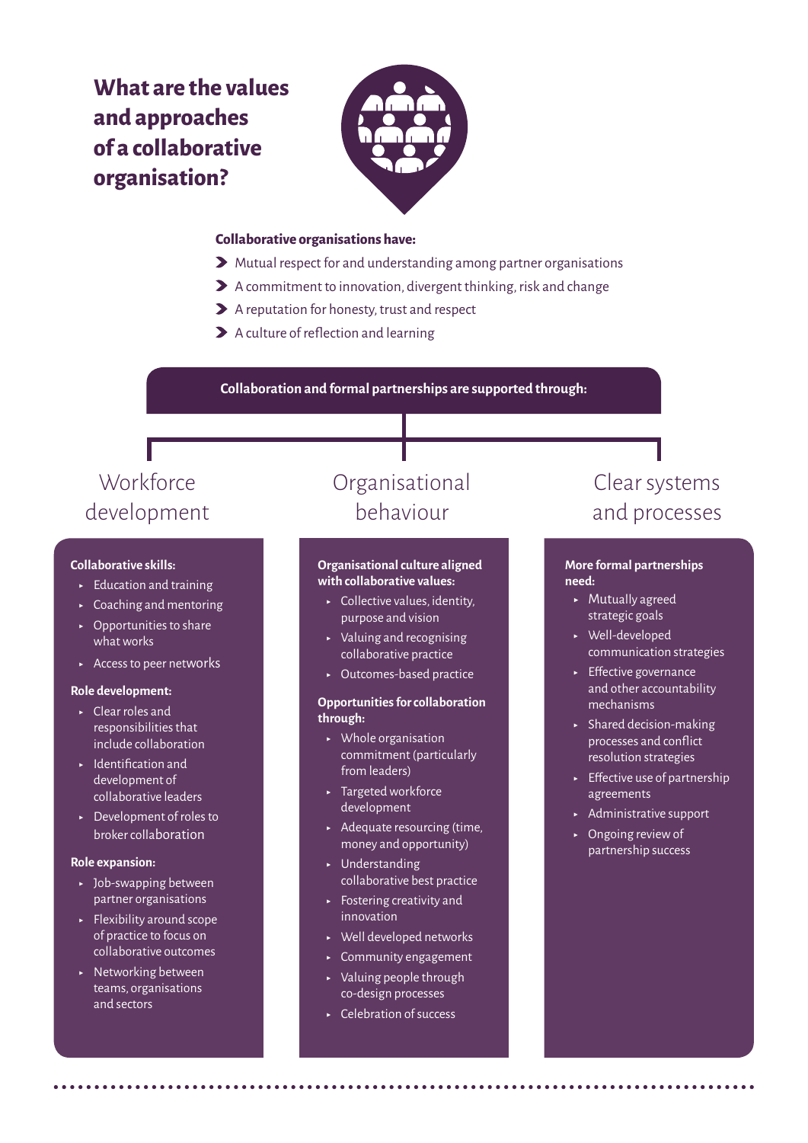### **What are the values and approaches of a collaborative organisation?**



#### **Collaborative organisations have:**

- Mutual respect for and understanding among partner organisations
- A commitment to innovation, divergent thinking, risk and change
- A reputation for honesty, trust and respect
- A culture of reflection and learning

**Collaboration and formal partnerships are supported through:**

### **Workforce** development

#### **Collaborative skills:**

- $\blacktriangleright$  Education and training
- $\sim$  Coaching and mentoring
- $\rightarrow$  Opportunities to share what works
- $\overline{\phantom{a}}$  Access to peer networks

#### **Role development:**

- ʝ Clear roles and responsibilities that include collaboration
- ʝ Identification and development of collaborative leaders
- ► Development of roles to broker collaboration

#### **Role expansion:**

- ► Job-swapping between partner organisations
- $\blacktriangleright$  Flexibility around scope of practice to focus on collaborative outcomes
- **EXECUTE:** Networking between teams, organisations and sectors

### Organisational behaviour

#### **Organisational culture aligned with collaborative values:**

- $\sim$  Collective values, identity, purpose and vision
- $\blacktriangleright$  Valuing and recognising collaborative practice
- ʝ Outcomes-based practice

#### **Opportunities for collaboration through:**

- $\triangleright$  Whole organisation commitment (particularly from leaders)
- ʝ Targeted workforce development
- $\blacktriangleright$  Adequate resourcing (time, money and opportunity)
- **L** Understanding collaborative best practice
- $\overline{\phantom{a}}$  Fostering creativity and innovation
- ʝ Well developed networks
- **Exercise Community engagement**
- $\triangleright$  Valuing people through co-design processes
- ʝ Celebration of success

### Clear systems and processes

#### **More formal partnerships need:**

- ʝ Mutually agreed strategic goals
- ʝ Well-developed communication strategies
- **Effective governance** and other accountability mechanisms
- $\blacktriangleright$  Shared decision-making processes and conflict resolution strategies
- $\overline{\phantom{a}}$  Effective use of partnership agreements
- **► Administrative support**
- ʝ Ongoing review of partnership success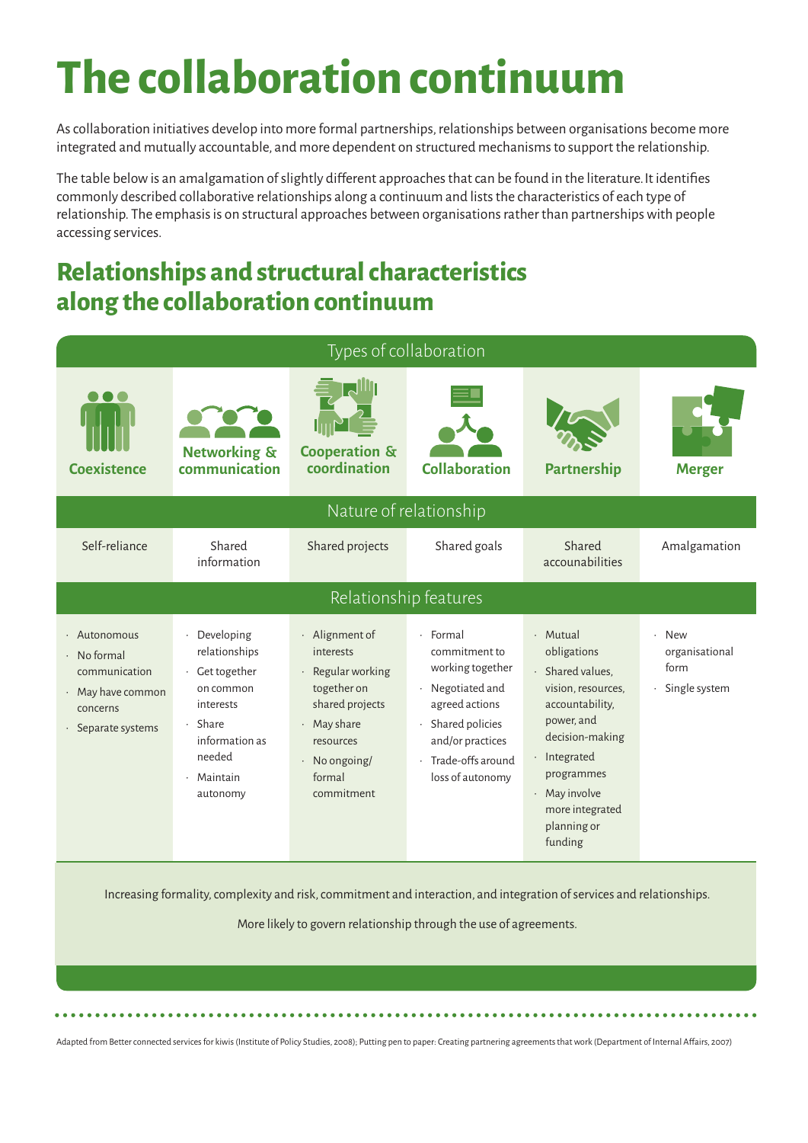## **The collaboration continuum**

As collaboration initiatives develop into more formal partnerships, relationships between organisations become more integrated and mutually accountable, and more dependent on structured mechanisms to support the relationship.

The table below is an amalgamation of slightly different approaches that can be found in the literature.It identifies commonly described collaborative relationships along a continuum and lists the characteristics of each type of relationship. The emphasis is on structural approaches between organisations rather than partnerships with people accessing services.

### **Relationships and structural characteristics along the collaboration continuum**



Increasing formality, complexity and risk, commitment and interaction, and integration of services and relationships.

More likely to govern relationship through the use of agreements.

Adapted from Better connected services for kiwis (Institute of Policy Studies, 2008); Putting pen to paper: Creating partnering agreements that work (Department of Internal Affairs, 2007)